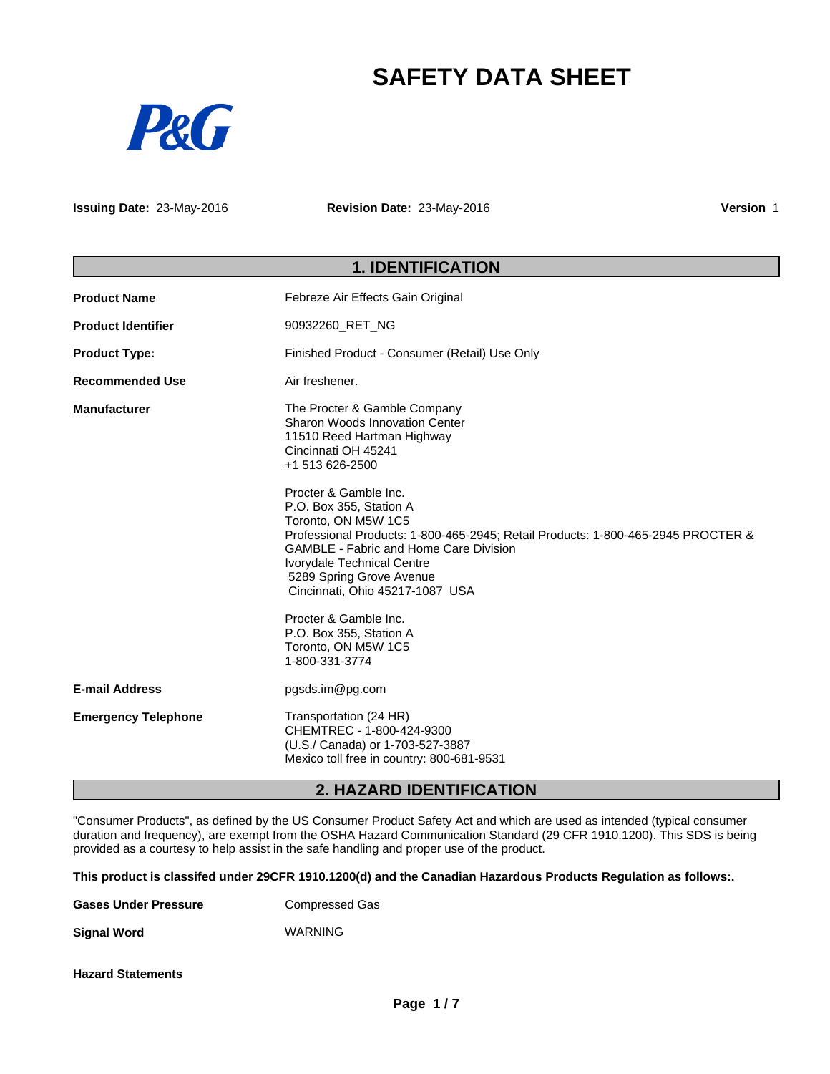# **SAFETY DATA SHEET**



**Issuing Date:** 23-May-2016 **Revision Date:** 23-May-2016 **Version** 1

## **1. IDENTIFICATION**

| <b>Product Name</b>        | Febreze Air Effects Gain Original                                                                                                                                                                                                                                                                                                                                                                                                                                                                                                                |
|----------------------------|--------------------------------------------------------------------------------------------------------------------------------------------------------------------------------------------------------------------------------------------------------------------------------------------------------------------------------------------------------------------------------------------------------------------------------------------------------------------------------------------------------------------------------------------------|
| <b>Product Identifier</b>  | 90932260_RET_NG                                                                                                                                                                                                                                                                                                                                                                                                                                                                                                                                  |
| <b>Product Type:</b>       | Finished Product - Consumer (Retail) Use Only                                                                                                                                                                                                                                                                                                                                                                                                                                                                                                    |
| <b>Recommended Use</b>     | Air freshener.                                                                                                                                                                                                                                                                                                                                                                                                                                                                                                                                   |
| <b>Manufacturer</b>        | The Procter & Gamble Company<br>Sharon Woods Innovation Center<br>11510 Reed Hartman Highway<br>Cincinnati OH 45241<br>+1 513 626-2500<br>Procter & Gamble Inc.<br>P.O. Box 355, Station A<br>Toronto, ON M5W 1C5<br>Professional Products: 1-800-465-2945; Retail Products: 1-800-465-2945 PROCTER &<br><b>GAMBLE - Fabric and Home Care Division</b><br>Ivorydale Technical Centre<br>5289 Spring Grove Avenue<br>Cincinnati, Ohio 45217-1087 USA<br>Procter & Gamble Inc.<br>P.O. Box 355, Station A<br>Toronto, ON M5W 1C5<br>1-800-331-3774 |
| <b>E-mail Address</b>      | pgsds.im@pg.com                                                                                                                                                                                                                                                                                                                                                                                                                                                                                                                                  |
| <b>Emergency Telephone</b> | Transportation (24 HR)<br>CHEMTREC - 1-800-424-9300<br>(U.S./ Canada) or 1-703-527-3887<br>Mexico toll free in country: 800-681-9531                                                                                                                                                                                                                                                                                                                                                                                                             |

## **2. HAZARD IDENTIFICATION**

"Consumer Products", as defined by the US Consumer Product Safety Act and which are used as intended (typical consumer duration and frequency), are exempt from the OSHA Hazard Communication Standard (29 CFR 1910.1200). This SDS is being provided as a courtesy to help assist in the safe handling and proper use of the product.

**This product is classifed under 29CFR 1910.1200(d) and the Canadian Hazardous Products Regulation as follows:.**

| <b>Gases Under Pressure</b> | Compressed Gas |
|-----------------------------|----------------|
|-----------------------------|----------------|

**Signal Word** WARNING

**Hazard Statements**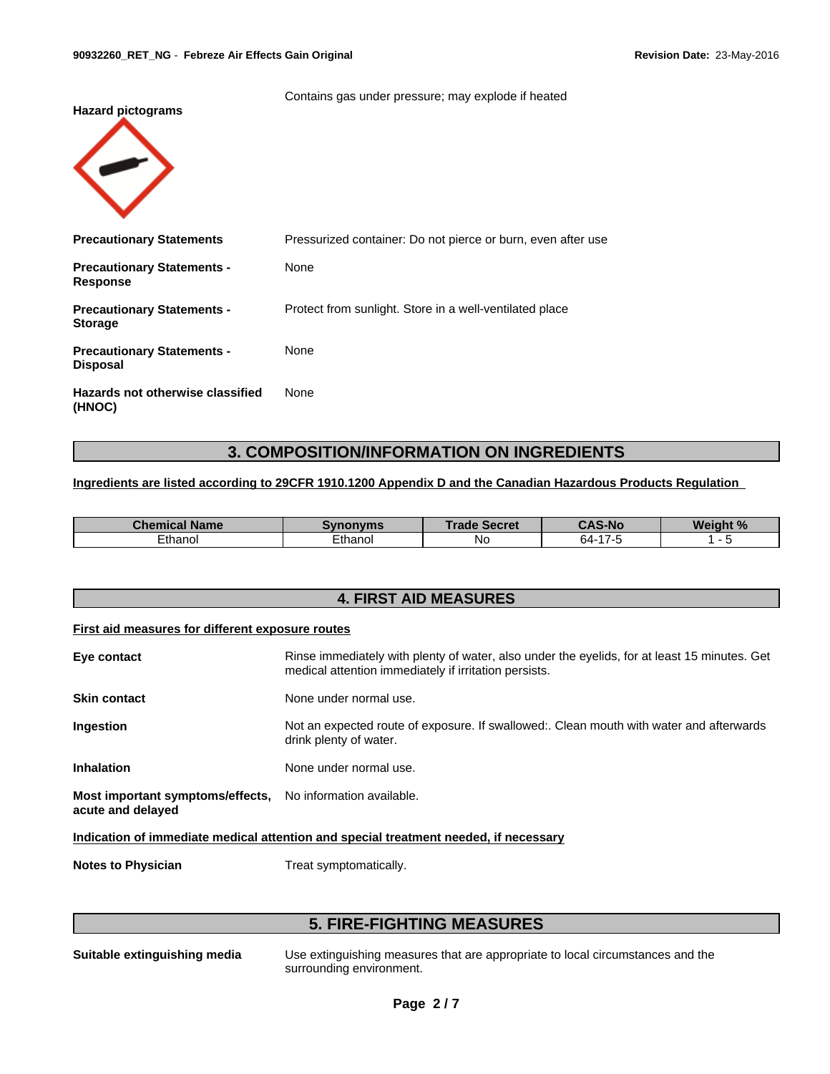Contains gas under pressure; may explode if heated **Hazard pictograms Precautionary Statements** Pressurized container: Do not pierce or burn, even after use **Precautionary Statements - Response** None **Precautionary Statements - Storage** Protect from sunlight. Store in a well-ventilated place **Precautionary Statements - Disposal** None **Hazards not otherwise classified (HNOC)** None

## **3. COMPOSITION/INFORMATION ON INGREDIENTS**

#### **Ingredients are listed according to 29CFR 1910.1200 Appendix D and the Canadian Hazardous Products Regulation**

| Chemical Name     | <b>THONORY</b>              | Trade<br><b>COOPO</b><br><b>POCLET</b> | <b>CAS-No</b>                    | . <i>.</i> 0/<br><b>Weight</b><br>70 |
|-------------------|-----------------------------|----------------------------------------|----------------------------------|--------------------------------------|
| $\sim$<br>Ethanol | —  —<br>Ethano <sup>'</sup> | N0                                     | $\rightarrow$<br>╮.<br>64<br>. . | . .                                  |

## **4. FIRST AID MEASURES**

#### **First aid measures for different exposure routes**

| Eye contact                                                                          | Rinse immediately with plenty of water, also under the eyelids, for at least 15 minutes. Get<br>medical attention immediately if irritation persists. |  |  |  |
|--------------------------------------------------------------------------------------|-------------------------------------------------------------------------------------------------------------------------------------------------------|--|--|--|
| <b>Skin contact</b>                                                                  | None under normal use.                                                                                                                                |  |  |  |
| Ingestion                                                                            | Not an expected route of exposure. If swallowed:. Clean mouth with water and afterwards<br>drink plenty of water.                                     |  |  |  |
| <b>Inhalation</b>                                                                    | None under normal use.                                                                                                                                |  |  |  |
| Most important symptoms/effects, No information available.<br>acute and delayed      |                                                                                                                                                       |  |  |  |
| Indication of immediate medical attention and special treatment needed, if necessary |                                                                                                                                                       |  |  |  |

**Notes to Physician** Treat symptomatically.

## **5. FIRE-FIGHTING MEASURES**

**Suitable extinguishing media** Use extinguishing measures that are appropriate to local circumstances and the surrounding environment.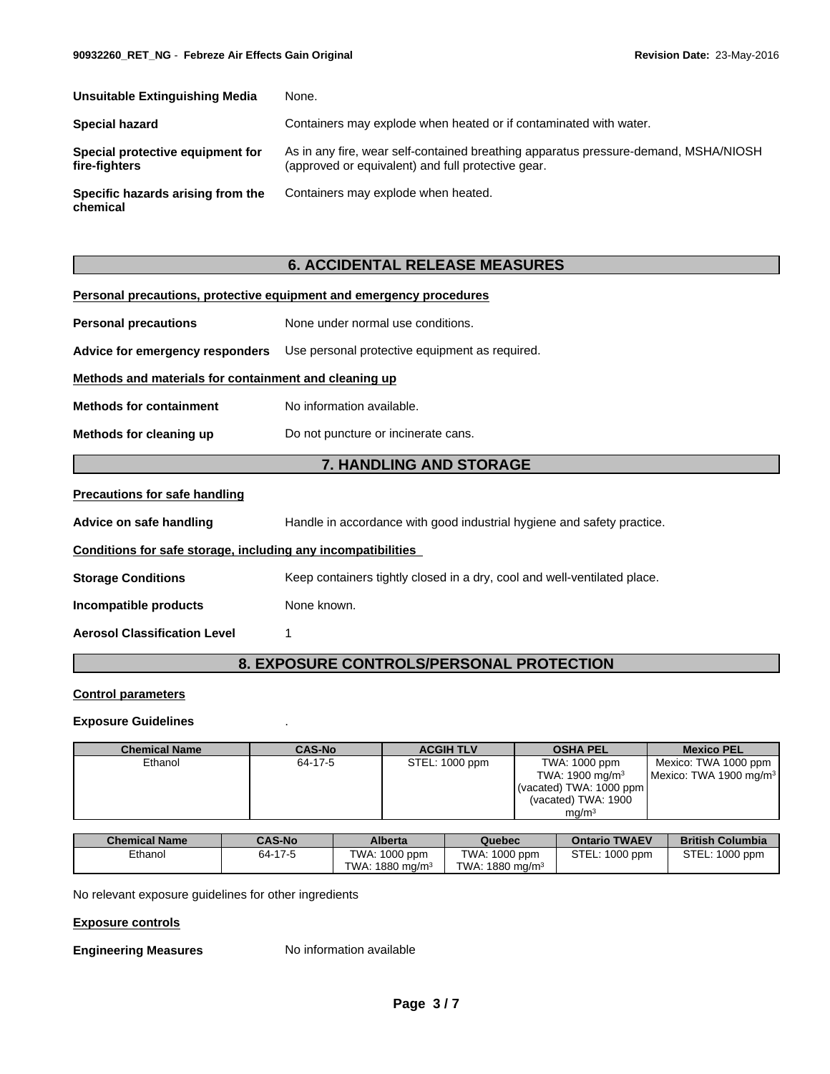| Unsuitable Extinguishing Media                    | None.                                                                                                                                     |
|---------------------------------------------------|-------------------------------------------------------------------------------------------------------------------------------------------|
| Special hazard                                    | Containers may explode when heated or if contaminated with water.                                                                         |
| Special protective equipment for<br>fire-fighters | As in any fire, wear self-contained breathing apparatus pressure-demand, MSHA/NIOSH<br>(approved or equivalent) and full protective gear. |
| Specific hazards arising from the<br>chemical     | Containers may explode when heated.                                                                                                       |

## **6. ACCIDENTAL RELEASE MEASURES**

| Personal precautions, protective equipment and emergency procedures |                                                                                |  |  |
|---------------------------------------------------------------------|--------------------------------------------------------------------------------|--|--|
| <b>Personal precautions</b>                                         | None under normal use conditions.                                              |  |  |
|                                                                     | Advice for emergency responders Use personal protective equipment as required. |  |  |
| Methods and materials for containment and cleaning up               |                                                                                |  |  |
| <b>Methods for containment</b>                                      | No information available.                                                      |  |  |
| Methods for cleaning up                                             | Do not puncture or incinerate cans.                                            |  |  |
|                                                                     | <b>7. HANDLING AND STORAGE</b>                                                 |  |  |
| <b>Precautions for safe handling</b>                                |                                                                                |  |  |
| Advice on safe handling                                             | Handle in accordance with good industrial hygiene and safety practice.         |  |  |
| Conditions for safe storage, including any incompatibilities        |                                                                                |  |  |
| <b>Storage Conditions</b>                                           | Keep containers tightly closed in a dry, cool and well-ventilated place.       |  |  |
| Incompatible products                                               | None known.                                                                    |  |  |
| <b>Aerosol Classification Level</b>                                 |                                                                                |  |  |

## **8. EXPOSURE CONTROLS/PERSONAL PROTECTION**

## **Control parameters**

### **Exposure Guidelines** .

| <b>Chemical Name</b> | <b>CAS-No</b> | <b>ACGIH TLV</b> | <b>OSHA PEL</b>             | <b>Mexico PEL</b>                  |
|----------------------|---------------|------------------|-----------------------------|------------------------------------|
| Ethanol              | 64-17-5       | STEL: 1000 ppm   | TWA: 1000 ppm               | Mexico: TWA 1000 ppm               |
|                      |               |                  | TWA: 1900 mg/m <sup>3</sup> | Mexico: TWA 1900 mg/m <sup>3</sup> |
|                      |               |                  | (vacated) TWA: 1000 ppm     |                                    |
|                      |               |                  | (vacated) TWA: 1900         |                                    |
|                      |               |                  | ma/m <sup>3</sup>           |                                    |

| <b>Chemical Name</b> | <b>CAS-No</b> | <b>Alberta</b>         | Quebec                      | <b>Ontario TWAEV</b> | <b>British Columbia</b> |
|----------------------|---------------|------------------------|-----------------------------|----------------------|-------------------------|
| Ethanol              | 64-17-5       | TWA: 1000 ppm          | TWA.<br>$:1000$ ppm         | STEL:<br>1000 ppm    | STEL: 1000 ppm          |
|                      |               | 1880 mg/m $^3$<br>TWA: | TWA: 1880 mg/m <sup>3</sup> |                      |                         |

No relevant exposure guidelines for other ingredients

### **Exposure controls**

**Engineering Measures** No information available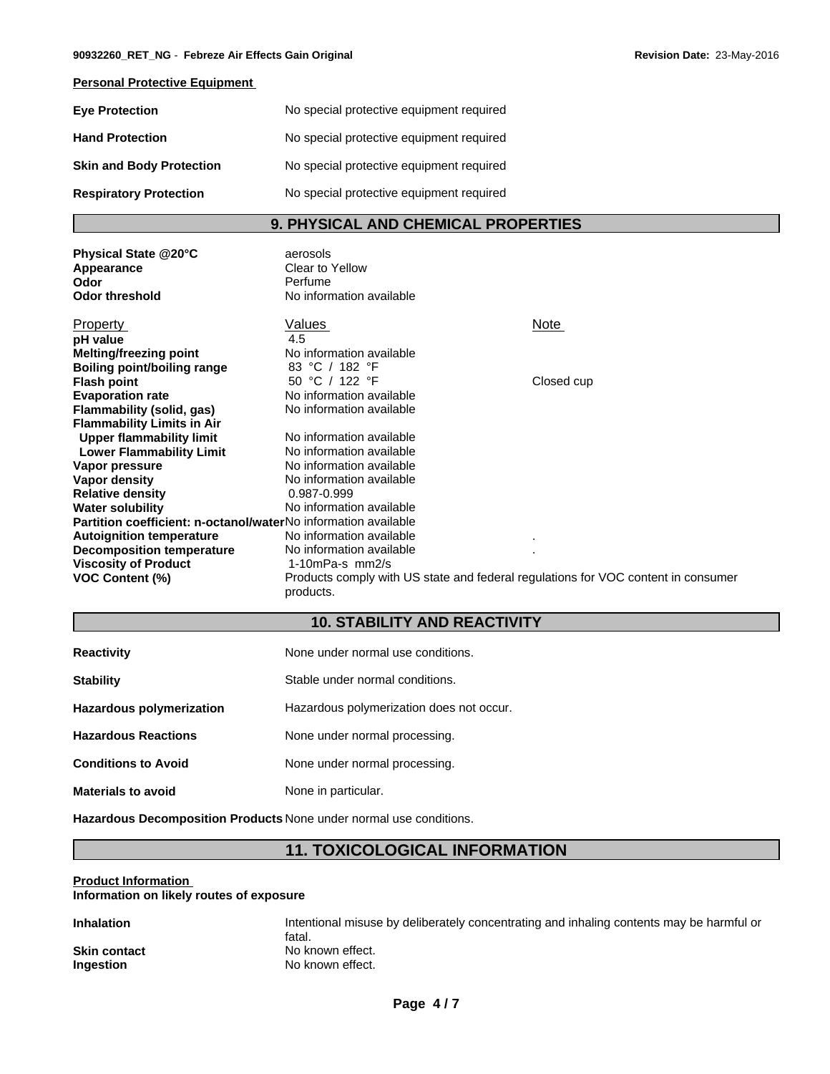## **Personal Protective Equipment**

| <b>Eye Protection</b>           | No special protective equipment required |
|---------------------------------|------------------------------------------|
| <b>Hand Protection</b>          | No special protective equipment required |
| <b>Skin and Body Protection</b> | No special protective equipment required |
| <b>Respiratory Protection</b>   | No special protective equipment required |

## **9. PHYSICAL AND CHEMICAL PROPERTIES**

| Physical State @20°C<br>Appearance<br>Odor<br><b>Odor threshold</b> | aerosols<br>Clear to Yellow<br>Perfume<br>No information available                             |             |
|---------------------------------------------------------------------|------------------------------------------------------------------------------------------------|-------------|
| Property                                                            | Values                                                                                         | <b>Note</b> |
| pH value                                                            | 4.5                                                                                            |             |
| <b>Melting/freezing point</b>                                       | No information available                                                                       |             |
| Boiling point/boiling range                                         | 83 °C / 182 °F                                                                                 |             |
| <b>Flash point</b>                                                  | 50 °C / 122 °F                                                                                 | Closed cup  |
| <b>Evaporation rate</b>                                             | No information available                                                                       |             |
| Flammability (solid, gas)                                           | No information available                                                                       |             |
| <b>Flammability Limits in Air</b>                                   |                                                                                                |             |
| <b>Upper flammability limit</b>                                     | No information available                                                                       |             |
| <b>Lower Flammability Limit</b>                                     | No information available                                                                       |             |
| Vapor pressure                                                      | No information available                                                                       |             |
| Vapor density                                                       | No information available                                                                       |             |
| <b>Relative density</b>                                             | 0.987-0.999                                                                                    |             |
| <b>Water solubility</b>                                             | No information available                                                                       |             |
| Partition coefficient: n-octanol/waterNo information available      |                                                                                                |             |
| <b>Autoignition temperature</b>                                     | No information available                                                                       |             |
| <b>Decomposition temperature</b>                                    | No information available                                                                       |             |
| <b>Viscosity of Product</b>                                         | 1-10mPa-s $mm2/s$                                                                              |             |
| <b>VOC Content (%)</b>                                              | Products comply with US state and federal regulations for VOC content in consumer<br>products. |             |

## **10. STABILITY AND REACTIVITY**

| <b>Reactivity</b>               | None under normal use conditions.        |
|---------------------------------|------------------------------------------|
| <b>Stability</b>                | Stable under normal conditions.          |
| <b>Hazardous polymerization</b> | Hazardous polymerization does not occur. |
| <b>Hazardous Reactions</b>      | None under normal processing.            |
| <b>Conditions to Avoid</b>      | None under normal processing.            |
| <b>Materials to avoid</b>       | None in particular.                      |

**Hazardous Decomposition Products** None under normal use conditions.

## **11. TOXICOLOGICAL INFORMATION**

#### **Product Information Information on likely routes of exposure**

| Inhalation   | Intentional misuse by deliberately concentrating and inhaling contents may be harmful or<br>fatal. |
|--------------|----------------------------------------------------------------------------------------------------|
| Skin contact | No known effect.                                                                                   |
| Ingestion    | No known effect.                                                                                   |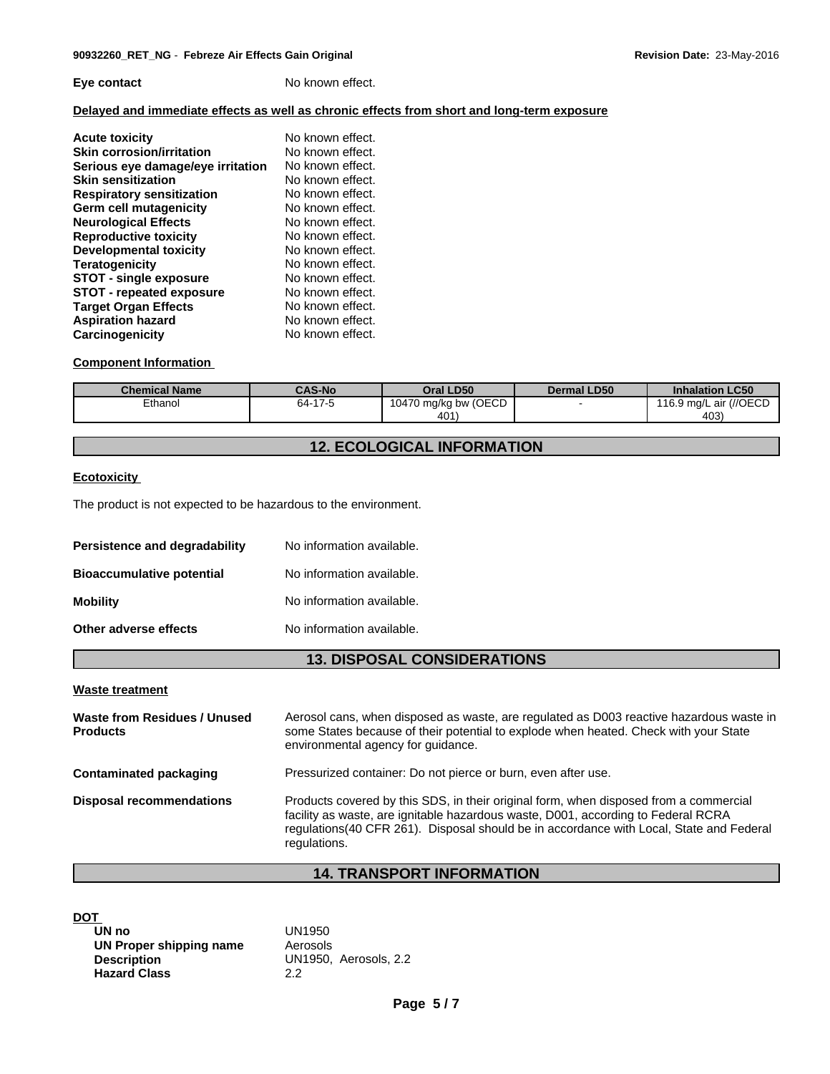### **Eye contact** No known effect.

## **Delayed and immediate effects as well as chronic effects from short and long-term exposure**

| <b>Acute toxicity</b>             | No known effect. |
|-----------------------------------|------------------|
| <b>Skin corrosion/irritation</b>  | No known effect. |
| Serious eye damage/eye irritation | No known effect. |
| <b>Skin sensitization</b>         | No known effect. |
| <b>Respiratory sensitization</b>  | No known effect. |
| Germ cell mutagenicity            | No known effect. |
| <b>Neurological Effects</b>       | No known effect. |
| <b>Reproductive toxicity</b>      | No known effect. |
| <b>Developmental toxicity</b>     | No known effect. |
| <b>Teratogenicity</b>             | No known effect. |
| <b>STOT - single exposure</b>     | No known effect. |
| <b>STOT - repeated exposure</b>   | No known effect. |
| <b>Target Organ Effects</b>       | No known effect. |
| <b>Aspiration hazard</b>          | No known effect. |
| Carcinogenicity                   | No known effect. |

### **Component Information**

| <b>Chemical Name</b> | <b>CAS-No</b> | Oral LD50                  | <b>Dermal LD50</b> | <b>Inhalation LC50</b> |
|----------------------|---------------|----------------------------|--------------------|------------------------|
| Ethanol              | 64-17-5       | 70 mg/kg bw (OECD<br>1047c |                    | 116.9 mg/L air (//OECD |
|                      |               | 401'                       |                    | 403)                   |

## **12. ECOLOGICAL INFORMATION**

## **Ecotoxicity**

The product is not expected to be hazardous to the environment.

| Persistence and degradability    | No information available. |
|----------------------------------|---------------------------|
| <b>Bioaccumulative potential</b> | No information available. |
| <b>Mobility</b>                  | No information available. |
| Other adverse effects            | No information available. |

## **13. DISPOSAL CONSIDERATIONS**

#### **Waste treatment**

**Waste from Residues / Unused Products** Aerosol cans, when disposed as waste, are regulated as D003 reactive hazardous waste in some States because of their potential to explode when heated. Check with your State environmental agency for guidance. **Contaminated packaging <b>Pressurized container:** Do not pierce or burn, even after use. **Disposal recommendations** Products covered by this SDS, in their original form, when disposed from a commercial facility as waste, are ignitable hazardous waste, D001, according to Federal RCRA regulations(40 CFR 261). Disposal should be in accordance with Local, State and Federal regulations.

## **14. TRANSPORT INFORMATION**

## **DOT**

| UN no                   | UN1950                |
|-------------------------|-----------------------|
| UN Proper shipping name | Aerosols              |
| <b>Description</b>      | UN1950. Aerosols, 2.2 |
| <b>Hazard Class</b>     | 22                    |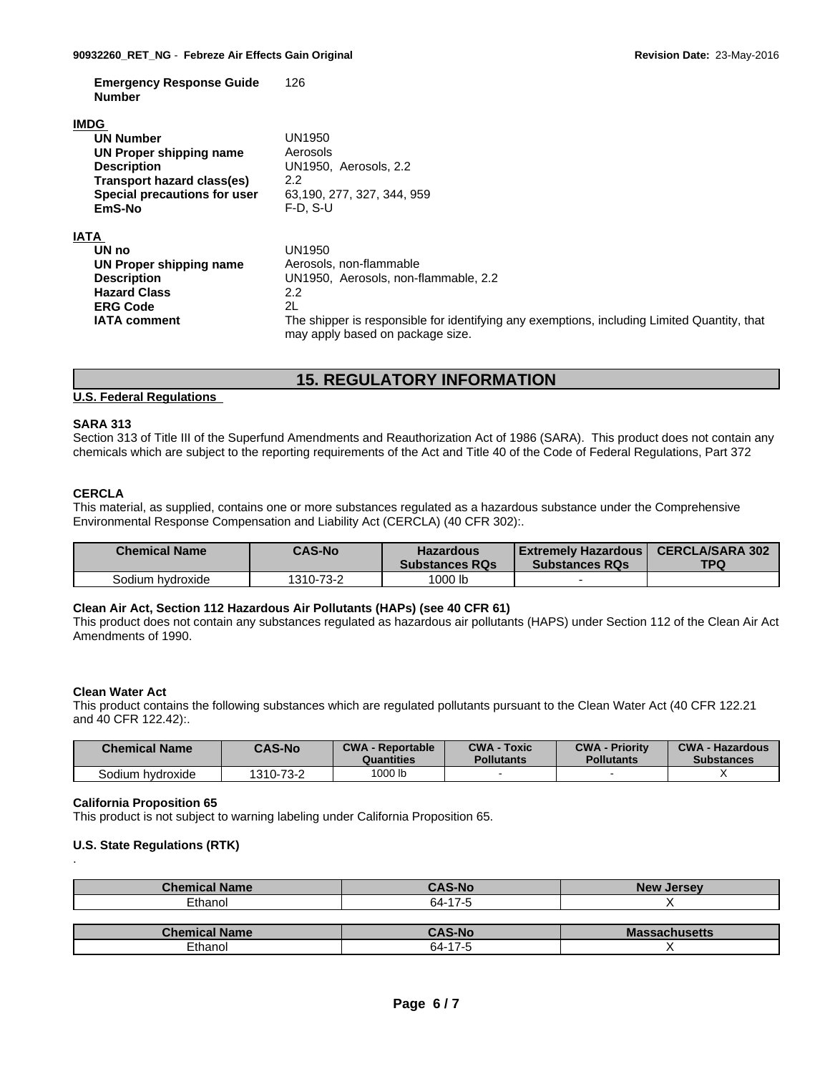**Emergency Response Guide Number** 126

#### **IMDG**

| <b>UN Number</b>             | UN1950                                                                                                                          |
|------------------------------|---------------------------------------------------------------------------------------------------------------------------------|
| UN Proper shipping name      | Aerosols                                                                                                                        |
| <b>Description</b>           | UN1950, Aerosols, 2.2                                                                                                           |
| Transport hazard class(es)   | 2.2                                                                                                                             |
| Special precautions for user | 63,190, 277, 327, 344, 959                                                                                                      |
| EmS-No                       | $F-D. S-U$                                                                                                                      |
| <b>IATA</b>                  |                                                                                                                                 |
| UN no                        | UN1950                                                                                                                          |
| UN Proper shipping name      | Aerosols, non-flammable                                                                                                         |
| <b>Description</b>           | UN1950. Aerosols. non-flammable. 2.2                                                                                            |
| <b>Hazard Class</b>          | 2.2                                                                                                                             |
| <b>ERG Code</b>              | 2L                                                                                                                              |
| <b>IATA comment</b>          | The shipper is responsible for identifying any exemptions, including Limited Quantity, that<br>may apply based on package size. |

## **15. REGULATORY INFORMATION**

## **U.S. Federal Regulations**

## **SARA 313**

Section 313 of Title III of the Superfund Amendments and Reauthorization Act of 1986 (SARA). This product does not contain any chemicals which are subject to the reporting requirements of the Act and Title 40 of the Code of Federal Regulations, Part 372

## **CERCLA**

This material, as supplied, contains one or more substances regulated as a hazardous substance under the Comprehensive Environmental Response Compensation and Liability Act (CERCLA) (40 CFR 302):.

| <b>Chemical Name</b> | <b>CAS-No</b> | <b>Hazardous</b><br><b>Substances RQs</b> | Extremely Hazardous  <br><b>Substances RQs</b> | <b>CERCLA/SARA 302</b><br><b>TPQ</b> |
|----------------------|---------------|-------------------------------------------|------------------------------------------------|--------------------------------------|
| Sodium hvdroxide     | 1310-73-2     | 1000 lb                                   |                                                |                                      |

## **Clean Air Act,Section 112 Hazardous Air Pollutants (HAPs) (see 40 CFR 61)**

This product does not contain any substances regulated as hazardous air pollutants (HAPS) under Section 112 of the Clean Air Act Amendments of 1990.

#### **Clean Water Act**

This product contains the following substances which are regulated pollutants pursuant to the Clean Water Act (40 CFR 122.21 and 40 CFR 122.42):.

| <b>Chemical Name</b> | <b>CAS-No</b> | <b>CWA - Reportable</b><br>Quantities | <b>CWA - Toxic</b><br>Pollutants | <b>CWA - Priority</b><br><b>Pollutants</b> | <b>CWA - Hazardous</b><br><b>Substances</b> |
|----------------------|---------------|---------------------------------------|----------------------------------|--------------------------------------------|---------------------------------------------|
| Sodium hydroxide     | 1310-73-2     | 1000 lb                               |                                  |                                            |                                             |

#### **California Proposition 65**

This product is not subject to warning labeling under California Proposition 65.

#### **U.S. State Regulations (RTK)** .

| <b>Chemical Name</b> | <b>CAS-No</b> | <b>New Jersey</b>    |
|----------------------|---------------|----------------------|
| Ethanol              | 64-17-5       |                      |
|                      |               |                      |
|                      |               |                      |
| <b>Chemical Name</b> | <b>CAS-No</b> | <b>Massachusetts</b> |